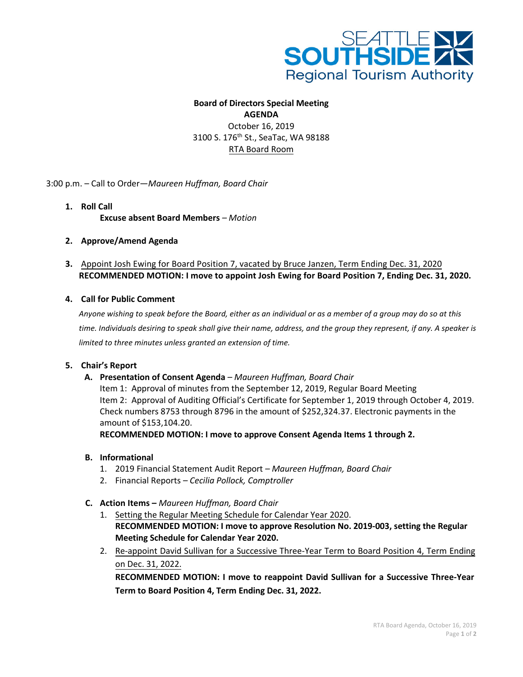

# **Board of Directors Special Meeting AGENDA** October 16, 2019 3100 S. 176th St., SeaTac, WA 98188

### RTA Board Room

3:00 p.m. – Call to Order—*Maureen Huffman, Board Chair*

- **1. Roll Call Excuse absent Board Members** *– Motion*
- **2. Approve/Amend Agenda**
- **3.** Appoint Josh Ewing for Board Position 7, vacated by Bruce Janzen, Term Ending Dec. 31, 2020 **RECOMMENDED MOTION: I move to appoint Josh Ewing for Board Position 7, Ending Dec. 31, 2020.**

### **4. Call for Public Comment**

*Anyone wishing to speak before the Board, either as an individual or as a member of a group may do so at this time. Individuals desiring to speak shall give their name, address, and the group they represent, if any. A speaker is limited to three minutes unless granted an extension of time.*

#### **5. Chair's Report**

**A. Presentation of Consent Agenda** *– Maureen Huffman, Board Chair*

Item 1: Approval of minutes from the September 12, 2019, Regular Board Meeting Item 2: Approval of Auditing Official's Certificate for September 1, 2019 through October 4, 2019. Check numbers 8753 through 8796 in the amount of \$252,324.37. Electronic payments in the amount of \$153,104.20.

**RECOMMENDED MOTION: I move to approve Consent Agenda Items 1 through 2.**

- **B. Informational**
	- 1. 2019 Financial Statement Audit Report  *Maureen Huffman, Board Chair*
	- 2. Financial Reports  *Cecilia Pollock, Comptroller*
- **C. Action Items** *Maureen Huffman, Board Chair*
	- 1. Setting the Regular Meeting Schedule for Calendar Year 2020. **RECOMMENDED MOTION: I move to approve Resolution No. 2019-003, setting the Regular Meeting Schedule for Calendar Year 2020.**
	- 2. Re-appoint David Sullivan for a Successive Three-Year Term to Board Position 4, Term Ending on Dec. 31, 2022.

**RECOMMENDED MOTION: I move to reappoint David Sullivan for a Successive Three-Year Term to Board Position 4, Term Ending Dec. 31, 2022.**